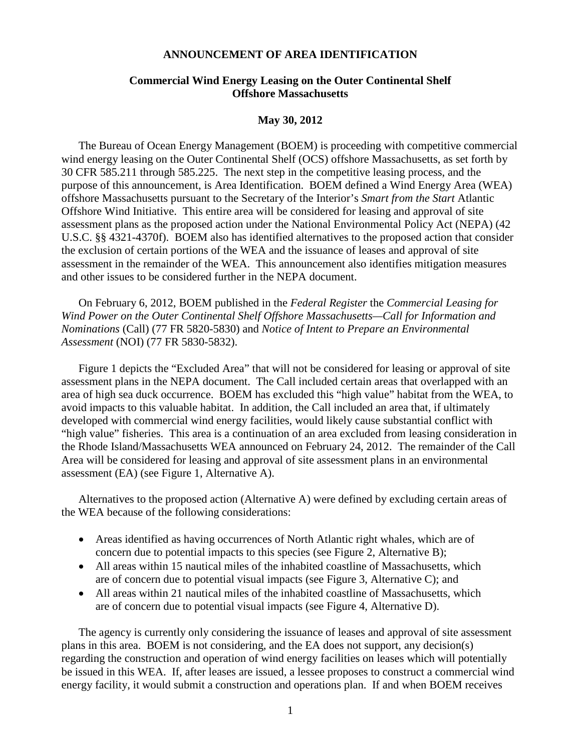## **ANNOUNCEMENT OF AREA IDENTIFICATION**

## **Commercial Wind Energy Leasing on the Outer Continental Shelf Offshore Massachusetts**

## **May 30, 2012**

The Bureau of Ocean Energy Management (BOEM) is proceeding with competitive commercial wind energy leasing on the Outer Continental Shelf (OCS) offshore Massachusetts, as set forth by 30 CFR 585.211 through 585.225. The next step in the competitive leasing process, and the purpose of this announcement, is Area Identification. BOEM defined a Wind Energy Area (WEA) offshore Massachusetts pursuant to the Secretary of the Interior's *Smart from the Start* Atlantic Offshore Wind Initiative. This entire area will be considered for leasing and approval of site assessment plans as the proposed action under the National Environmental Policy Act (NEPA) (42 U.S.C. §§ 4321-4370f). BOEM also has identified alternatives to the proposed action that consider the exclusion of certain portions of the WEA and the issuance of leases and approval of site assessment in the remainder of the WEA. This announcement also identifies mitigation measures and other issues to be considered further in the NEPA document.

On February 6, 2012, BOEM published in the *Federal Register* the *Commercial Leasing for Wind Power on the Outer Continental Shelf Offshore Massachusetts—Call for Information and Nominations* (Call) (77 FR 5820-5830) and *Notice of Intent to Prepare an Environmental Assessment* (NOI) (77 FR 5830-5832).

Figure 1 depicts the "Excluded Area" that will not be considered for leasing or approval of site assessment plans in the NEPA document. The Call included certain areas that overlapped with an area of high sea duck occurrence. BOEM has excluded this "high value" habitat from the WEA, to avoid impacts to this valuable habitat. In addition, the Call included an area that, if ultimately developed with commercial wind energy facilities, would likely cause substantial conflict with "high value" fisheries. This area is a continuation of an area excluded from leasing consideration in the Rhode Island/Massachusetts WEA announced on February 24, 2012. The remainder of the Call Area will be considered for leasing and approval of site assessment plans in an environmental assessment (EA) (see Figure 1, Alternative A).

Alternatives to the proposed action (Alternative A) were defined by excluding certain areas of the WEA because of the following considerations:

- Areas identified as having occurrences of North Atlantic right whales, which are of concern due to potential impacts to this species (see Figure 2, Alternative B);
- All areas within 15 nautical miles of the inhabited coastline of Massachusetts, which are of concern due to potential visual impacts (see Figure 3, Alternative C); and
- All areas within 21 nautical miles of the inhabited coastline of Massachusetts, which are of concern due to potential visual impacts (see Figure 4, Alternative D).

The agency is currently only considering the issuance of leases and approval of site assessment plans in this area. BOEM is not considering, and the EA does not support, any decision(s) regarding the construction and operation of wind energy facilities on leases which will potentially be issued in this WEA. If, after leases are issued, a lessee proposes to construct a commercial wind energy facility, it would submit a construction and operations plan. If and when BOEM receives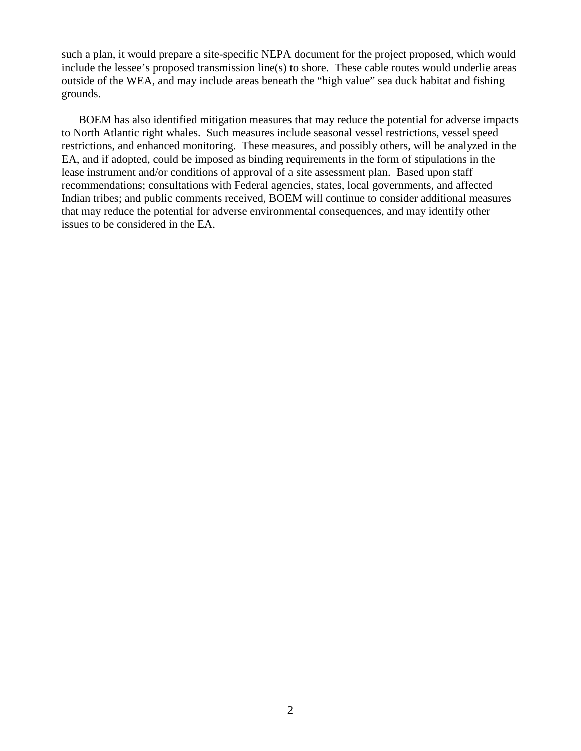such a plan, it would prepare a site-specific NEPA document for the project proposed, which would include the lessee's proposed transmission line(s) to shore. These cable routes would underlie areas outside of the WEA, and may include areas beneath the "high value" sea duck habitat and fishing grounds.

BOEM has also identified mitigation measures that may reduce the potential for adverse impacts to North Atlantic right whales. Such measures include seasonal vessel restrictions, vessel speed restrictions, and enhanced monitoring. These measures, and possibly others, will be analyzed in the EA, and if adopted, could be imposed as binding requirements in the form of stipulations in the lease instrument and/or conditions of approval of a site assessment plan. Based upon staff recommendations; consultations with Federal agencies, states, local governments, and affected Indian tribes; and public comments received, BOEM will continue to consider additional measures that may reduce the potential for adverse environmental consequences, and may identify other issues to be considered in the EA.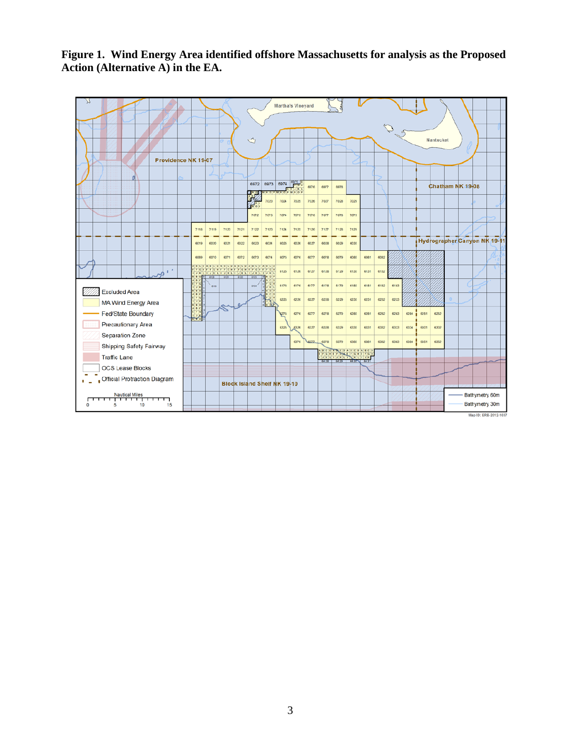**Figure 1. Wind Energy Area identified offshore Massachusetts for analysis as the Proposed Action (Alternative A) in the EA.**

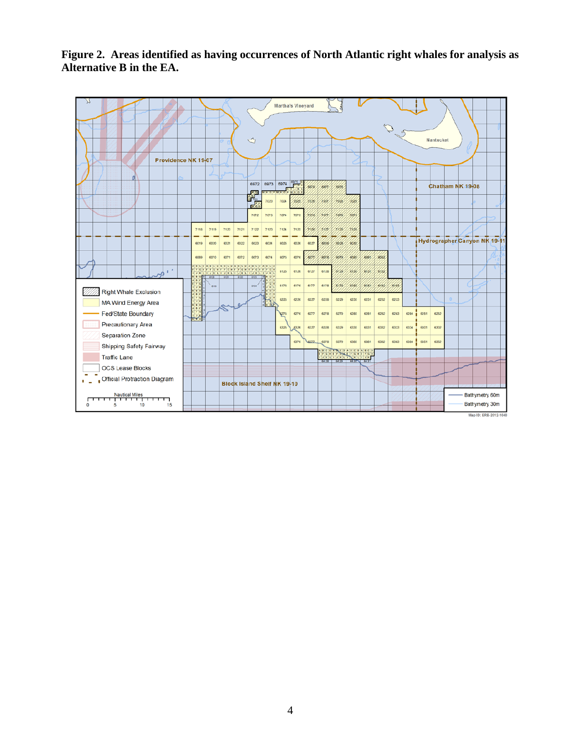**Figure 2. Areas identified as having occurrences of North Atlantic right whales for analysis as Alternative B in the EA.** 

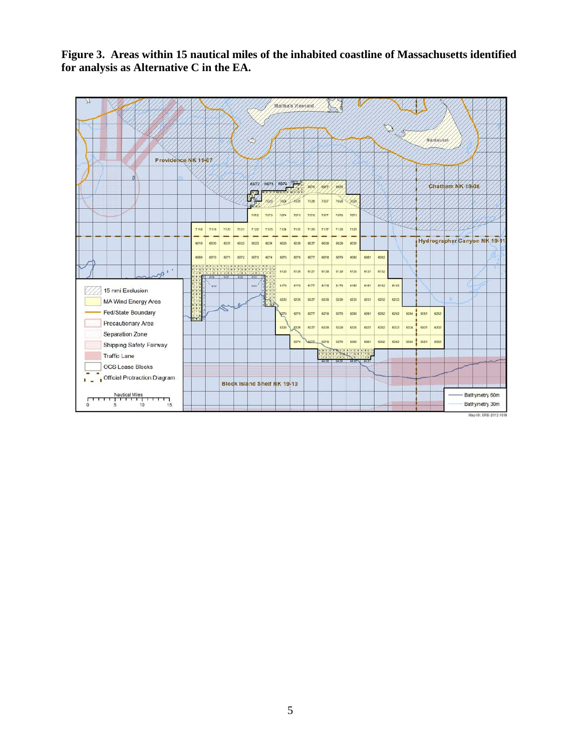**Figure 3. Areas within 15 nautical miles of the inhabited coastline of Massachusetts identified for analysis as Alternative C in the EA.**